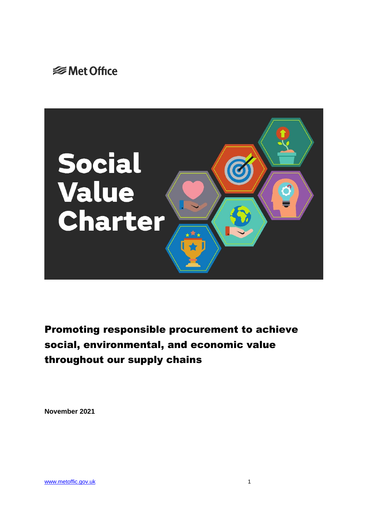



Promoting responsible procurement to achieve social, environmental, and economic value throughout our supply chains

**November 2021**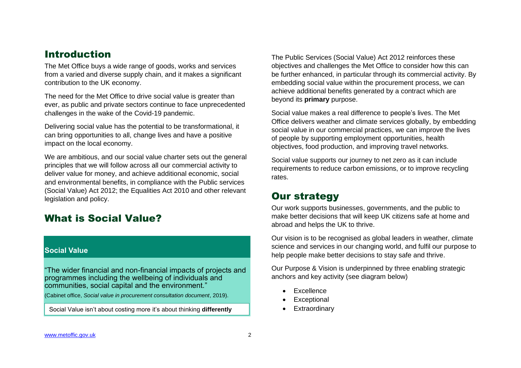### Introduction

The Met Office buys a wide range of goods, works and services from a varied and diverse supply chain, and it makes a significant contribution to the UK economy.

The need for the Met Office to drive social value is greater than ever, as public and private sectors continue to face unprecedented challenges in the wake of the Covid-19 pandemic.

Delivering social value has the potential to be transformational, it can bring opportunities to all, change lives and have a positive impact on the local economy.

We are ambitious, and our social value charter sets out the general principles that we will follow across all our commercial activity to deliver value for money, and achieve additional economic, social and environmental benefits, in compliance with the Public services (Social Value) Act 2012; the Equalities Act 2010 and other relevant legislation and policy.

### What is Social Value?

#### **Social Value**

"The wider financial and non-financial impacts of projects and programmes including the wellbeing of individuals and communities, social capital and the environment."

(Cabinet office, *Social value in procurement consultation document*, 2019).

Social Value isn't about costing more it's about thinking **differently** entitled a **Find-** Extraordinary

The Public Services (Social Value) Act 2012 reinforces these objectives and challenges the Met Office to consider how this can be further enhanced, in particular through its commercial activity. By embedding social value within the procurement process, we can achieve additional benefits generated by a contract which are beyond its **primary** purpose.

Social value makes a real difference to people's lives. The Met Office delivers weather and climate services globally, by embedding social value in our commercial practices, we can improve the lives of people by supporting employment opportunities, health objectives, food production, and improving travel networks.

Social value supports our journey to net zero as it can include requirements to reduce carbon emissions, or to improve recycling rates.

### Our strategy

Our work supports businesses, governments, and the public to make better decisions that will keep UK citizens safe at home and abroad and helps the UK to thrive.

Our vision is to be recognised as global leaders in weather, climate science and services in our changing world, and fulfil our purpose to help people make better decisions to stay safe and thrive.

Our Purpose & Vision is underpinned by three enabling strategic anchors and key activity (see diagram below)

- Excellence
- **Exceptional**
-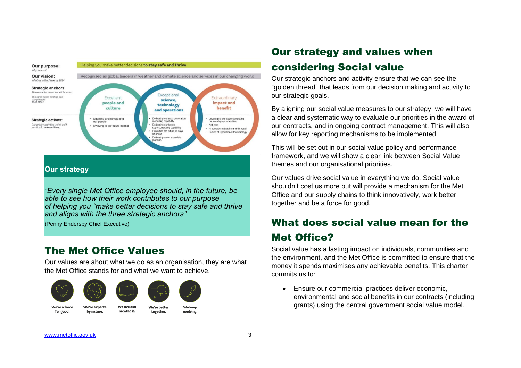

*"Every single Met Office employee should, in the future, be able to see how their work contributes to our purpose of helping you "make better decisions to stay safe and thrive and aligns with the three strategic anchors"*

(Penny Endersby Chief Executive)

### The Met Office Values

Our values are about what we do as an organisation, they are what the Met Office stands for and what we want to achieve.



# Our strategy and values when considering Social value

Our strategic anchors and activity ensure that we can see the "golden thread" that leads from our decision making and activity to our strategic goals.

By aligning our social value measures to our strategy, we will have a clear and systematic way to evaluate our priorities in the award of our contracts, and in ongoing contract management. This will also allow for key reporting mechanisms to be implemented.

This will be set out in our social value policy and performance framework, and we will show a clear link between Social Value themes and our organisational priorities.

Our values drive social value in everything we do. Social value shouldn't cost us more but will provide a mechanism for the Met Office and our supply chains to think innovatively, work better together and be a force for good.

# What does social value mean for the Met Office?

Social value has a lasting impact on individuals, communities and the environment, and the Met Office is committed to ensure that the money it spends maximises any achievable benefits. This charter commits us to:

• Ensure our commercial practices deliver economic, environmental and social benefits in our contracts (including grants) using the central government social value model.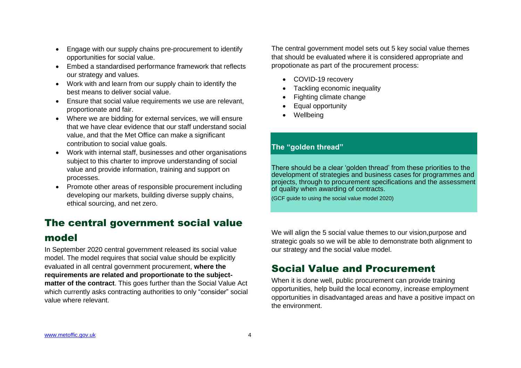- Engage with our supply chains pre-procurement to identify opportunities for social value.
- Embed a standardised performance framework that reflects our strategy and values.
- Work with and learn from our supply chain to identify the best means to deliver social value.
- Ensure that social value requirements we use are relevant, proportionate and fair.
- Where we are bidding for external services, we will ensure that we have clear evidence that our staff understand social value, and that the Met Office can make a significant contribution to social value goals.
- Work with internal staff, businesses and other organisations subject to this charter to improve understanding of social value and provide information, training and support on processes.
- Promote other areas of responsible procurement including developing our markets, building diverse supply chains, ethical sourcing, and net zero.

## The central government social value

### model

In September 2020 central government released its social value model. The model requires that social value should be explicitly evaluated in all central government procurement, **where the requirements are related and proportionate to the subjectmatter of the contract**. This goes further than the Social Value Act which currently asks contracting authorities to only "consider" social value where relevant.

The central government model sets out 5 key social value themes that should be evaluated where it is considered appropriate and propotionate as part of the procurement process:

- COVID-19 recovery
- Tackling economic inequality
- Fighting climate change
- Equal opportunity
- **Wellbeing**

#### **The "golden thread"**

There should be a clear 'golden thread' from these priorities to the development of strategies and business cases for programmes and projects, through to procurement specifications and the assessment of quality when awarding of contracts.

(GCF guide to using the social value model 2020)

We will align the 5 social value themes to our vision, purpose and strategic goals so we will be able to demonstrate both alignment to our strategy and the social value model.

### Social Value and Procurement

When it is done well, public procurement can provide training opportunities, help build the local economy, increase employment opportunities in disadvantaged areas and have a positive impact on the environment.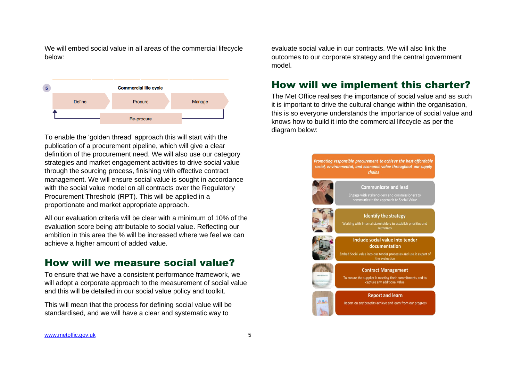We will embed social value in all areas of the commercial lifecycle below:



To enable the 'golden thread' approach this will start with the publication of a procurement pipeline, which will give a clear definition of the procurement need. We will also use our category strategies and market engagement activities to drive social value through the sourcing process, finishing with effective contract management. We will ensure social value is sought in accordance with the social value model on all contracts over the Regulatory Procurement Threshold (RPT). This will be applied in a proportionate and market appropriate approach.

All our evaluation criteria will be clear with a minimum of 10% of the evaluation score being attributable to social value. Reflecting our ambition in this area the % will be increased where we feel we can achieve a higher amount of added value.

### How will we measure social value?

To ensure that we have a consistent performance framework, we will adopt a corporate approach to the measurement of social value and this will be detailed in our social value policy and toolkit.

This will mean that the process for defining social value will be standardised, and we will have a clear and systematic way to

evaluate social value in our contracts. We will also link the outcomes to our corporate strategy and the central government model.

### How will we implement this charter?

The Met Office realises the importance of social value and as such it is important to drive the cultural change within the organisation, this is so everyone understands the importance of social value and knows how to build it into the commercial lifecycle as per the diagram below: